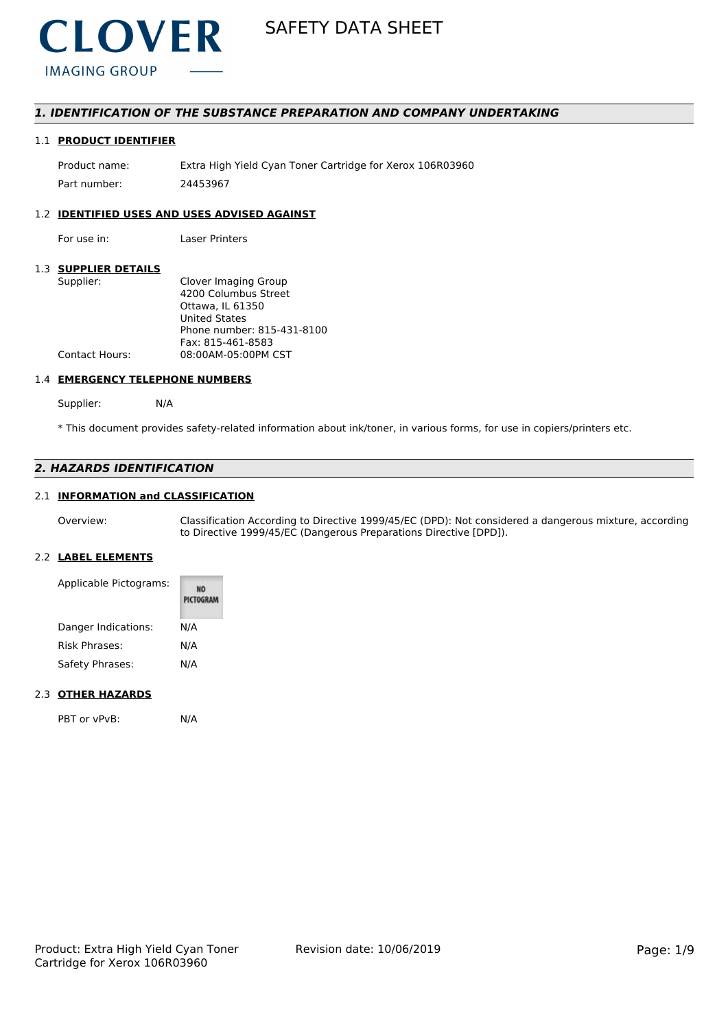

### *1. IDENTIFICATION OF THE SUBSTANCE PREPARATION AND COMPANY UNDERTAKING*

### 1.1 **PRODUCT IDENTIFIER**

Product name: Extra High Yield Cyan Toner Cartridge for Xerox 106R03960 Part number: 24453967

### 1.2 **IDENTIFIED USES AND USES ADVISED AGAINST**

For use in: Laser Printers

### 1.3 **SUPPLIER DETAILS**

| Supplier:      | Clover Imaging Group       |
|----------------|----------------------------|
|                | 4200 Columbus Street       |
|                | Ottawa, IL 61350           |
|                | <b>United States</b>       |
|                | Phone number: 815-431-8100 |
|                | Fax: 815-461-8583          |
| Contact Hours: | 08:00AM-05:00PM CST        |
|                |                            |

#### 1.4 **EMERGENCY TELEPHONE NUMBERS**

Supplier: N/A

\* This document provides safety-related information about ink/toner, in various forms, for use in copiers/printers etc.

### *2. HAZARDS IDENTIFICATION*

### 2.1 **INFORMATION and CLASSIFICATION**

Overview: Classification According to Directive 1999/45/EC (DPD): Not considered a dangerous mixture, according to Directive 1999/45/EC (Dangerous Preparations Directive [DPD]).

### 2.2 **LABEL ELEMENTS**

| Applicable Pictograms: | <b>PICTOGRAM</b> |
|------------------------|------------------|
| Danger Indications:    | N/A              |
| Risk Phrases:          | N/A              |
| Safety Phrases:        | N/A              |

#### 2.3 **OTHER HAZARDS**

PBT or vPvB: N/A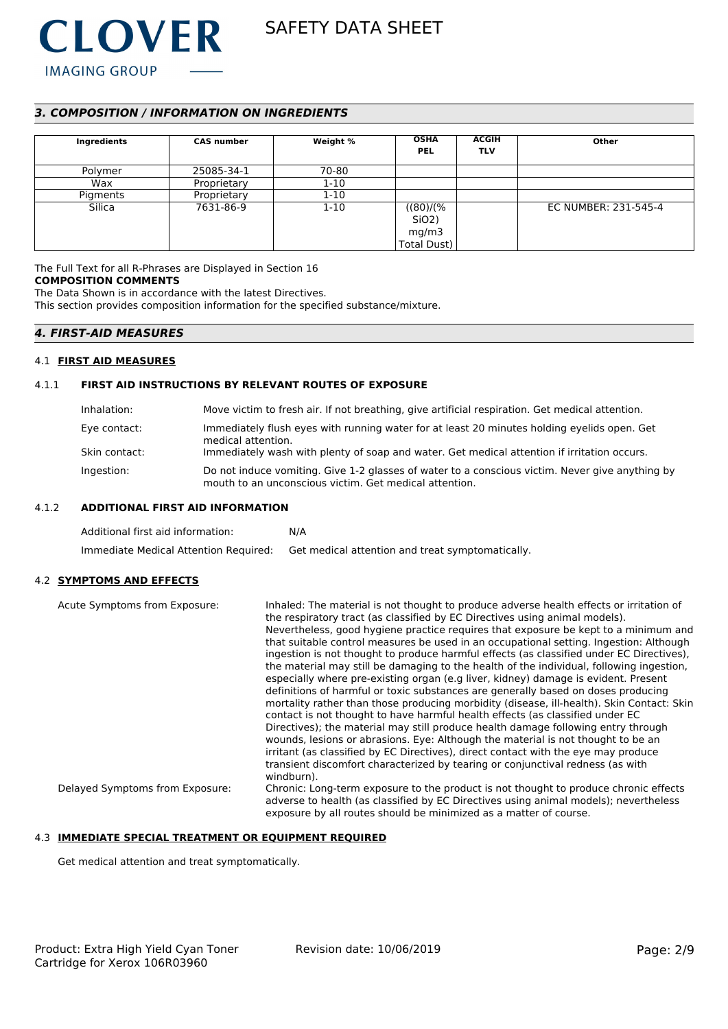

### *3. COMPOSITION / INFORMATION ON INGREDIENTS*

| Ingredients | <b>CAS number</b> | Weight % | <b>OSHA</b><br><b>PEL</b>                              | <b>ACGIH</b><br><b>TLV</b> | Other                |
|-------------|-------------------|----------|--------------------------------------------------------|----------------------------|----------------------|
| Polymer     | 25085-34-1        | 70-80    |                                                        |                            |                      |
| Wax         | Proprietary       | $1 - 10$ |                                                        |                            |                      |
| Pigments    | Proprietary       | $1 - 10$ |                                                        |                            |                      |
| Silica      | 7631-86-9         | $1 - 10$ | ((80)/(%<br>Si <sub>O2</sub> )<br>mg/m3<br>Total Dust) |                            | EC NUMBER: 231-545-4 |

The Full Text for all R-Phrases are Displayed in Section 16 **COMPOSITION COMMENTS** The Data Shown is in accordance with the latest Directives.

This section provides composition information for the specified substance/mixture.

#### *4. FIRST-AID MEASURES*

#### 4.1 **FIRST AID MEASURES**

#### 4.1.1 **FIRST AID INSTRUCTIONS BY RELEVANT ROUTES OF EXPOSURE**

| Inhalation:   | Move victim to fresh air. If not breathing, give artificial respiration. Get medical attention.                                                           |
|---------------|-----------------------------------------------------------------------------------------------------------------------------------------------------------|
| Eye contact:  | Immediately flush eyes with running water for at least 20 minutes holding eyelids open. Get<br>medical attention.                                         |
| Skin contact: | Immediately wash with plenty of soap and water. Get medical attention if irritation occurs.                                                               |
| Ingestion:    | Do not induce vomiting. Give 1-2 glasses of water to a conscious victim. Never give anything by<br>mouth to an unconscious victim. Get medical attention. |

#### 4.1.2 **ADDITIONAL FIRST AID INFORMATION**

| Additional first aid information:     | N/A                                              |
|---------------------------------------|--------------------------------------------------|
| Immediate Medical Attention Required: | Get medical attention and treat symptomatically. |

#### 4.2 **SYMPTOMS AND EFFECTS**

Acute Symptoms from Exposure: Inhaled: The material is not thought to produce adverse health effects or irritation of the respiratory tract (as classified by EC Directives using animal models). Nevertheless, good hygiene practice requires that exposure be kept to a minimum and that suitable control measures be used in an occupational setting. Ingestion: Although ingestion is not thought to produce harmful effects (as classified under EC Directives), the material may still be damaging to the health of the individual, following ingestion, especially where pre-existing organ (e.g liver, kidney) damage is evident. Present definitions of harmful or toxic substances are generally based on doses producing mortality rather than those producing morbidity (disease, ill-health). Skin Contact: Skin contact is not thought to have harmful health effects (as classified under EC Directives); the material may still produce health damage following entry through wounds, lesions or abrasions. Eye: Although the material is not thought to be an irritant (as classified by EC Directives), direct contact with the eye may produce transient discomfort characterized by tearing or conjunctival redness (as with windburn). Delayed Symptoms from Exposure: Chronic: Long-term exposure to the product is not thought to produce chronic effects adverse to health (as classified by EC Directives using animal models); nevertheless exposure by all routes should be minimized as a matter of course.

#### 4.3 **IMMEDIATE SPECIAL TREATMENT OR EQUIPMENT REQUIRED**

Get medical attention and treat symptomatically.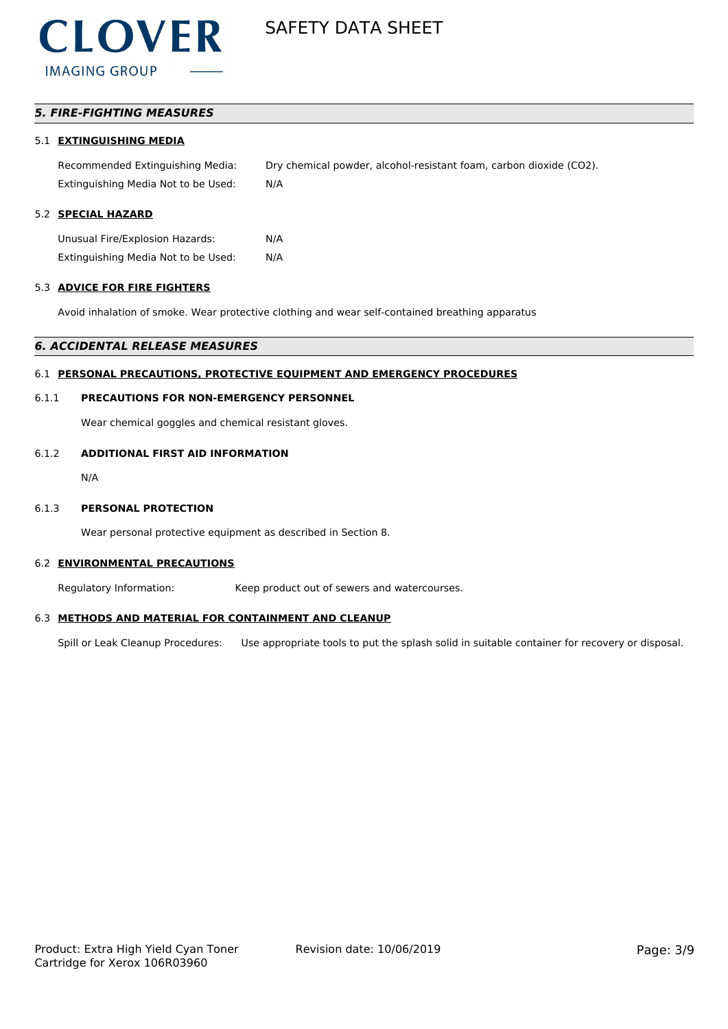### *5. FIRE-FIGHTING MEASURES*

#### 5.1 **EXTINGUISHING MEDIA**

Recommended Extinguishing Media: Dry chemical powder, alcohol-resistant foam, carbon dioxide (CO2). Extinguishing Media Not to be Used: N/A

### 5.2 **SPECIAL HAZARD**

Unusual Fire/Explosion Hazards: N/A Extinguishing Media Not to be Used: N/A

#### 5.3 **ADVICE FOR FIRE FIGHTERS**

Avoid inhalation of smoke. Wear protective clothing and wear self-contained breathing apparatus

#### *6. ACCIDENTAL RELEASE MEASURES*

### 6.1 **PERSONAL PRECAUTIONS, PROTECTIVE EQUIPMENT AND EMERGENCY PROCEDURES**

#### 6.1.1 **PRECAUTIONS FOR NON-EMERGENCY PERSONNEL**

Wear chemical goggles and chemical resistant gloves.

### 6.1.2 **ADDITIONAL FIRST AID INFORMATION**

N/A

#### 6.1.3 **PERSONAL PROTECTION**

Wear personal protective equipment as described in Section 8.

#### 6.2 **ENVIRONMENTAL PRECAUTIONS**

Regulatory Information: Keep product out of sewers and watercourses.

#### 6.3 **METHODS AND MATERIAL FOR CONTAINMENT AND CLEANUP**

Spill or Leak Cleanup Procedures: Use appropriate tools to put the splash solid in suitable container for recovery or disposal.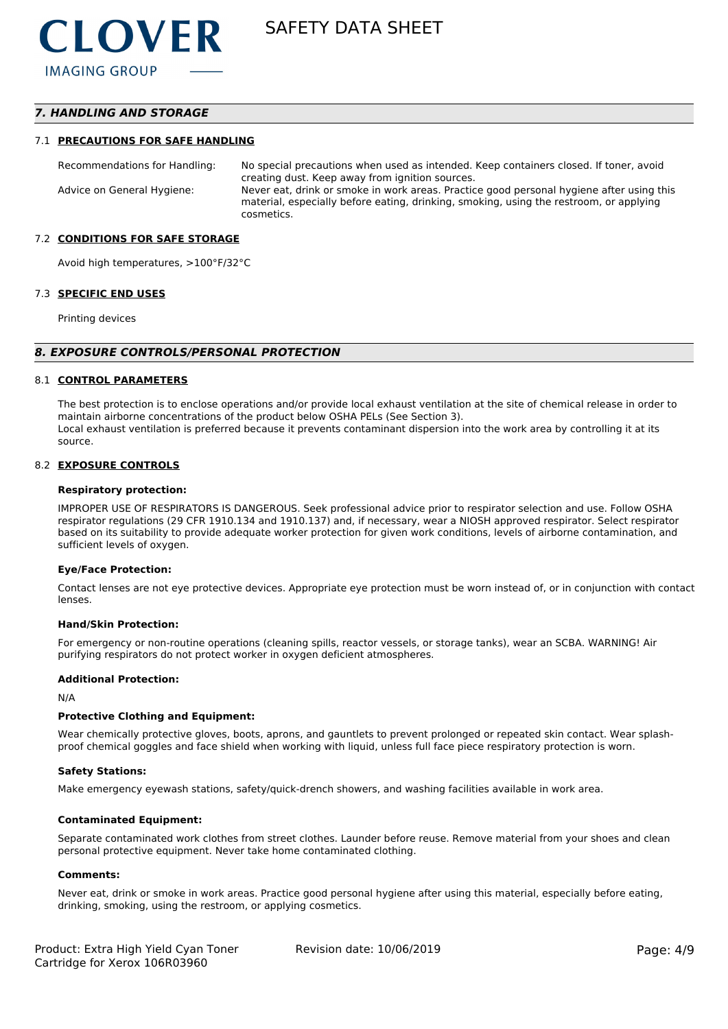### *7. HANDLING AND STORAGE*

#### 7.1 **PRECAUTIONS FOR SAFE HANDLING**

Recommendations for Handling: No special precautions when used as intended. Keep containers closed. If toner, avoid creating dust. Keep away from ignition sources. Advice on General Hygiene: Never eat, drink or smoke in work areas. Practice good personal hygiene after using this material, especially before eating, drinking, smoking, using the restroom, or applying cosmetics.

#### 7.2 **CONDITIONS FOR SAFE STORAGE**

Avoid high temperatures, >100°F/32°C

#### 7.3 **SPECIFIC END USES**

Printing devices

#### *8. EXPOSURE CONTROLS/PERSONAL PROTECTION*

#### 8.1 **CONTROL PARAMETERS**

The best protection is to enclose operations and/or provide local exhaust ventilation at the site of chemical release in order to maintain airborne concentrations of the product below OSHA PELs (See Section 3). Local exhaust ventilation is preferred because it prevents contaminant dispersion into the work area by controlling it at its source.

#### 8.2 **EXPOSURE CONTROLS**

#### **Respiratory protection:**

IMPROPER USE OF RESPIRATORS IS DANGEROUS. Seek professional advice prior to respirator selection and use. Follow OSHA respirator regulations (29 CFR 1910.134 and 1910.137) and, if necessary, wear a NIOSH approved respirator. Select respirator based on its suitability to provide adequate worker protection for given work conditions, levels of airborne contamination, and sufficient levels of oxygen.

#### **Eye/Face Protection:**

Contact lenses are not eye protective devices. Appropriate eye protection must be worn instead of, or in conjunction with contact lenses.

#### **Hand/Skin Protection:**

For emergency or non-routine operations (cleaning spills, reactor vessels, or storage tanks), wear an SCBA. WARNING! Air purifying respirators do not protect worker in oxygen deficient atmospheres.

#### **Additional Protection:**

N/A

#### **Protective Clothing and Equipment:**

Wear chemically protective gloves, boots, aprons, and gauntlets to prevent prolonged or repeated skin contact. Wear splashproof chemical goggles and face shield when working with liquid, unless full face piece respiratory protection is worn.

#### **Safety Stations:**

Make emergency eyewash stations, safety/quick-drench showers, and washing facilities available in work area.

#### **Contaminated Equipment:**

Separate contaminated work clothes from street clothes. Launder before reuse. Remove material from your shoes and clean personal protective equipment. Never take home contaminated clothing.

#### **Comments:**

Never eat, drink or smoke in work areas. Practice good personal hygiene after using this material, especially before eating, drinking, smoking, using the restroom, or applying cosmetics.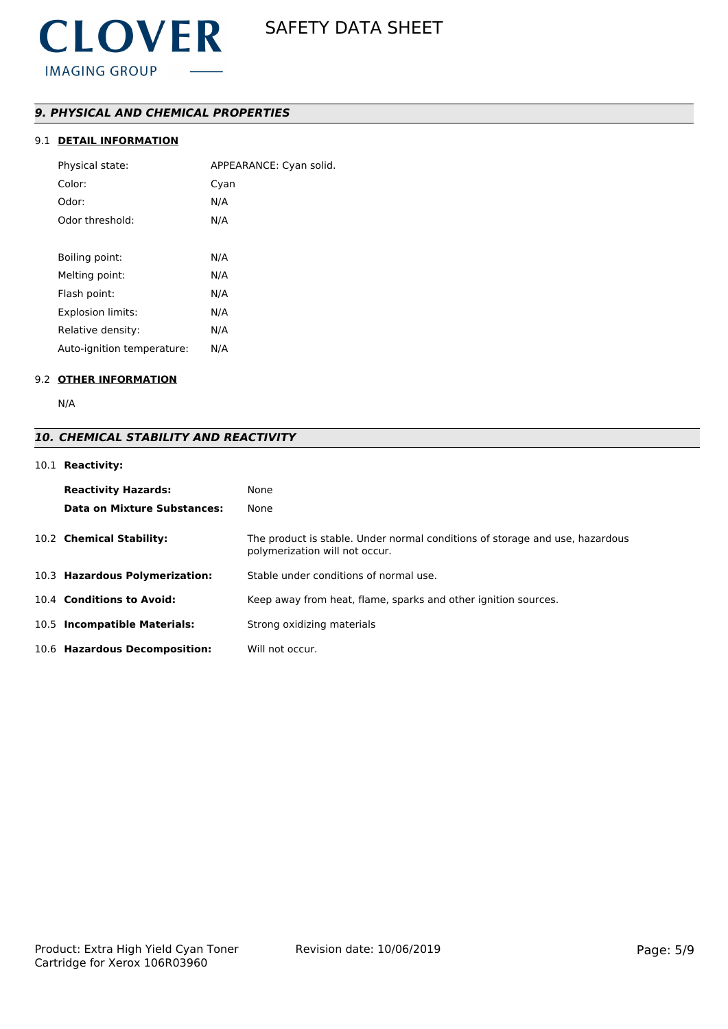### *9. PHYSICAL AND CHEMICAL PROPERTIES*

### 9.1 **DETAIL INFORMATION**

| Physical state:            | APPEARANCE: Cyan solid. |
|----------------------------|-------------------------|
| Color:                     | Cyan                    |
| Odor:                      | N/A                     |
| Odor threshold:            | N/A                     |
|                            |                         |
| Boiling point:             | N/A                     |
| Melting point:             | N/A                     |
| Flash point:               | N/A                     |
| <b>Explosion limits:</b>   | N/A                     |
| Relative density:          | N/A                     |
| Auto-ignition temperature: | N/A                     |

### 9.2 **OTHER INFORMATION**

N/A

### *10. CHEMICAL STABILITY AND REACTIVITY*

### 10.1 **Reactivity:**

| <b>Reactivity Hazards:</b>     | None                                                                                                           |
|--------------------------------|----------------------------------------------------------------------------------------------------------------|
| Data on Mixture Substances:    | None                                                                                                           |
| 10.2 Chemical Stability:       | The product is stable. Under normal conditions of storage and use, hazardous<br>polymerization will not occur. |
| 10.3 Hazardous Polymerization: | Stable under conditions of normal use.                                                                         |
| 10.4 Conditions to Avoid:      | Keep away from heat, flame, sparks and other ignition sources.                                                 |
| 10.5 Incompatible Materials:   | Strong oxidizing materials                                                                                     |
| 10.6 Hazardous Decomposition:  | Will not occur.                                                                                                |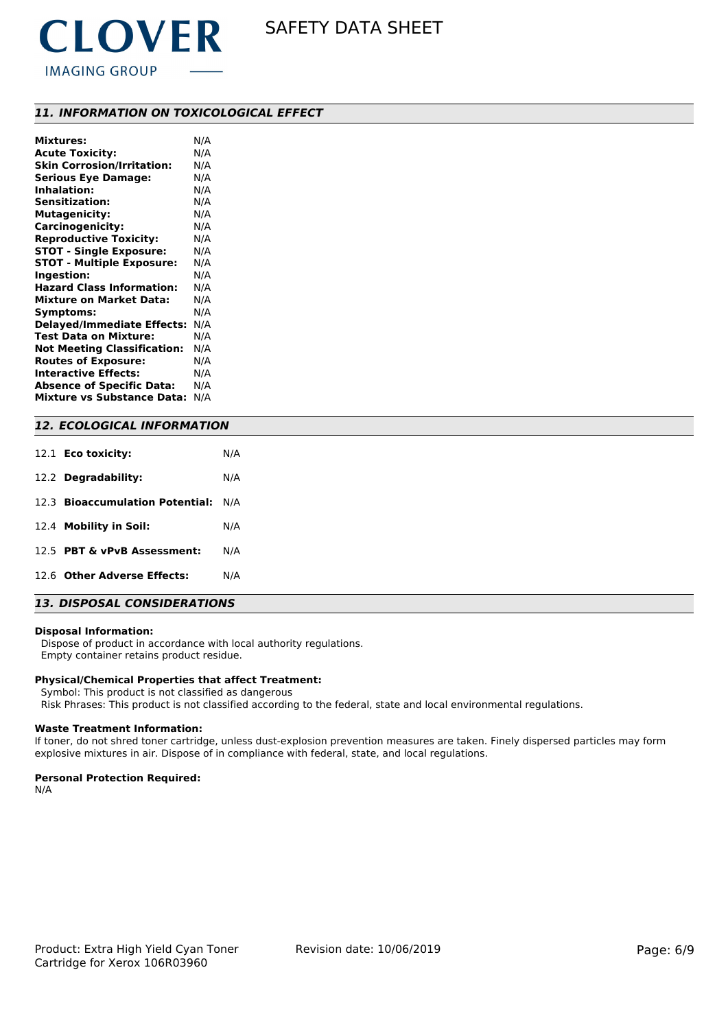

### *11. INFORMATION ON TOXICOLOGICAL EFFECT*

| <b>Mixtures:</b>                   | N/A |
|------------------------------------|-----|
| <b>Acute Toxicity:</b>             | N/A |
| <b>Skin Corrosion/Irritation:</b>  | N/A |
| <b>Serious Eye Damage:</b>         | N/A |
| <b>Inhalation:</b>                 | N/A |
| <b>Sensitization:</b>              | N/A |
| <b>Mutagenicity:</b>               | N/A |
| Carcinogenicity:                   | N/A |
| <b>Reproductive Toxicity:</b>      | N/A |
| <b>STOT - Single Exposure:</b>     | N/A |
| <b>STOT - Multiple Exposure:</b>   | N/A |
| Ingestion:                         | N/A |
| <b>Hazard Class Information:</b>   | N/A |
| <b>Mixture on Market Data:</b>     | N/A |
| Symptoms:                          | N/A |
| <b>Delayed/Immediate Effects:</b>  | N/A |
| <b>Test Data on Mixture:</b>       | N/A |
| <b>Not Meeting Classification:</b> | N/A |
| <b>Routes of Exposure:</b>         | N/A |
| <b>Interactive Effects:</b>        | N/A |
| <b>Absence of Specific Data:</b>   | N/A |
| Mixture vs Substance Data:         | N/A |

### *12. ECOLOGICAL INFORMATION*

| 12.1 <b>Eco toxicity:</b>           | N/A |  |  |
|-------------------------------------|-----|--|--|
| 12.2 Degradability:                 | N/A |  |  |
| 12.3 Bioaccumulation Potential: N/A |     |  |  |
| 12.4 Mobility in Soil:              | N/A |  |  |
| 12.5 PBT & vPvB Assessment:         | N/A |  |  |
| 12.6 Other Adverse Effects:         | N/A |  |  |
|                                     |     |  |  |

### *13. DISPOSAL CONSIDERATIONS*

#### **Disposal Information:**

 Dispose of product in accordance with local authority regulations. Empty container retains product residue.

#### **Physical/Chemical Properties that affect Treatment:**

Symbol: This product is not classified as dangerous

Risk Phrases: This product is not classified according to the federal, state and local environmental regulations.

#### **Waste Treatment Information:**

If toner, do not shred toner cartridge, unless dust-explosion prevention measures are taken. Finely dispersed particles may form explosive mixtures in air. Dispose of in compliance with federal, state, and local regulations.

#### **Personal Protection Required:**

N/A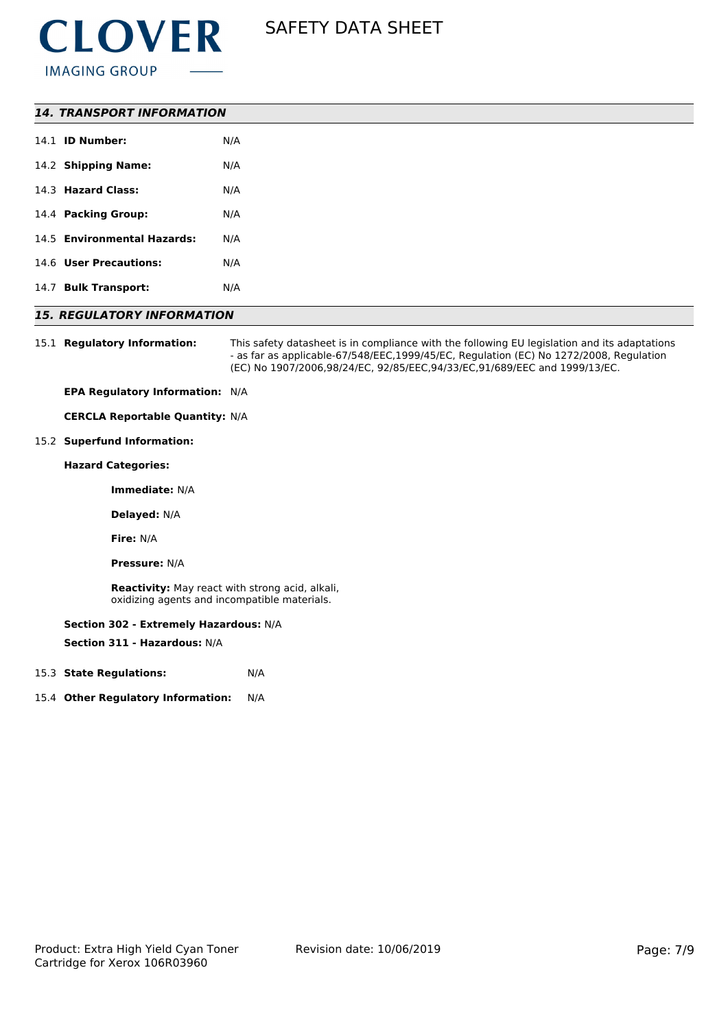

| <b>14. TRANSPORT INFORMATION</b> |     |  |
|----------------------------------|-----|--|
| 14.1 <b>ID Number:</b>           | N/A |  |
| 14.2 Shipping Name:              | N/A |  |
| 14.3 Hazard Class:               | N/A |  |
| 14.4 Packing Group:              | N/A |  |
| 14.5 Environmental Hazards:      | N/A |  |
| 14.6 User Precautions:           | N/A |  |
| 14.7 Bulk Transport:             | N/A |  |

### *15. REGULATORY INFORMATION*

15.1 **Regulatory Information:** This safety datasheet is in compliance with the following EU legislation and its adaptations - as far as applicable-67/548/EEC,1999/45/EC, Regulation (EC) No 1272/2008, Regulation (EC) No 1907/2006,98/24/EC, 92/85/EEC,94/33/EC,91/689/EEC and 1999/13/EC.

**EPA Regulatory Information:** N/A

**CERCLA Reportable Quantity:** N/A

#### 15.2 **Superfund Information:**

**Hazard Categories:**

**Immediate:** N/A

**Delayed:** N/A

**Fire:** N/A

**Pressure:** N/A

**Reactivity:** May react with strong acid, alkali, oxidizing agents and incompatible materials.

#### **Section 302 - Extremely Hazardous:** N/A

**Section 311 - Hazardous:** N/A

- 15.3 **State Regulations:** N/A
- 15.4 **Other Regulatory Information:** N/A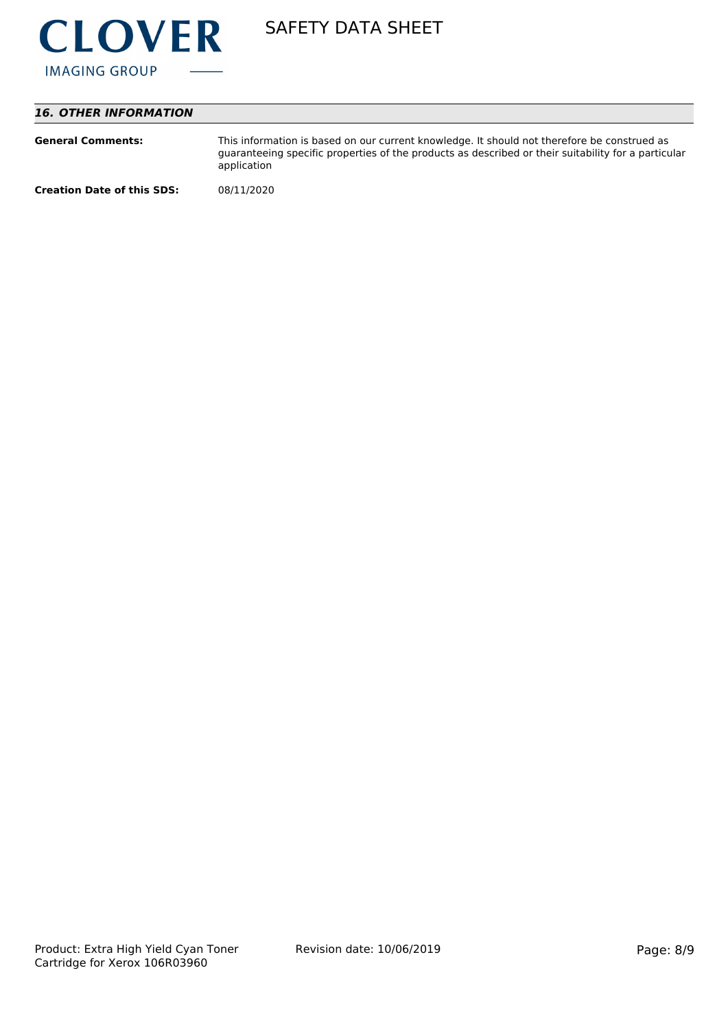

## *16. OTHER INFORMATION*

| <b>General Comments:</b>          | This information is based on our current knowledge. It should not therefore be construed as<br>guaranteeing specific properties of the products as described or their suitability for a particular<br>application |
|-----------------------------------|-------------------------------------------------------------------------------------------------------------------------------------------------------------------------------------------------------------------|
| <b>Creation Date of this SDS:</b> | 08/11/2020                                                                                                                                                                                                        |